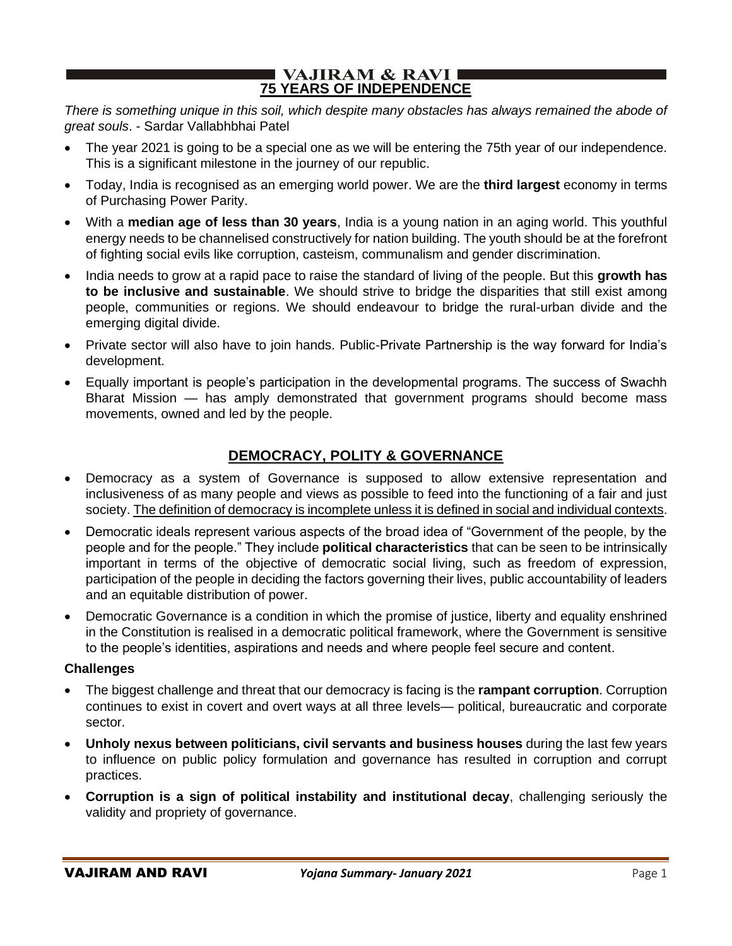#### I VAJIRAM & RAVI **E 75 YEARS OF INDEPENDENCE**

*There is something unique in this soil, which despite many obstacles has always remained the abode of great souls*. - Sardar Vallabhbhai Patel

- The year 2021 is going to be a special one as we will be entering the 75th year of our independence. This is a significant milestone in the journey of our republic.
- Today, India is recognised as an emerging world power. We are the **third largest** economy in terms of Purchasing Power Parity.
- With a **median age of less than 30 years**, India is a young nation in an aging world. This youthful energy needs to be channelised constructively for nation building. The youth should be at the forefront of fighting social evils like corruption, casteism, communalism and gender discrimination.
- India needs to grow at a rapid pace to raise the standard of living of the people. But this **growth has to be inclusive and sustainable**. We should strive to bridge the disparities that still exist among people, communities or regions. We should endeavour to bridge the rural-urban divide and the emerging digital divide.
- Private sector will also have to join hands. Public-Private Partnership is the way forward for India's development.
- Equally important is people's participation in the developmental programs. The success of Swachh Bharat Mission — has amply demonstrated that government programs should become mass movements, owned and led by the people.

# **DEMOCRACY, POLITY & GOVERNANCE**

- Democracy as a system of Governance is supposed to allow extensive representation and inclusiveness of as many people and views as possible to feed into the functioning of a fair and just society. The definition of democracy is incomplete unless it is defined in social and individual contexts.
- Democratic ideals represent various aspects of the broad idea of "Government of the people, by the people and for the people." They include **political characteristics** that can be seen to be intrinsically important in terms of the objective of democratic social living, such as freedom of expression, participation of the people in deciding the factors governing their lives, public accountability of leaders and an equitable distribution of power.
- Democratic Governance is a condition in which the promise of justice, liberty and equality enshrined in the Constitution is realised in a democratic political framework, where the Government is sensitive to the people's identities, aspirations and needs and where people feel secure and content.

#### **Challenges**

- The biggest challenge and threat that our democracy is facing is the **rampant corruption**. Corruption continues to exist in covert and overt ways at all three levels— political, bureaucratic and corporate sector.
- **Unholy nexus between politicians, civil servants and business houses** during the last few years to influence on public policy formulation and governance has resulted in corruption and corrupt practices.
- **Corruption is a sign of political instability and institutional decay**, challenging seriously the validity and propriety of governance.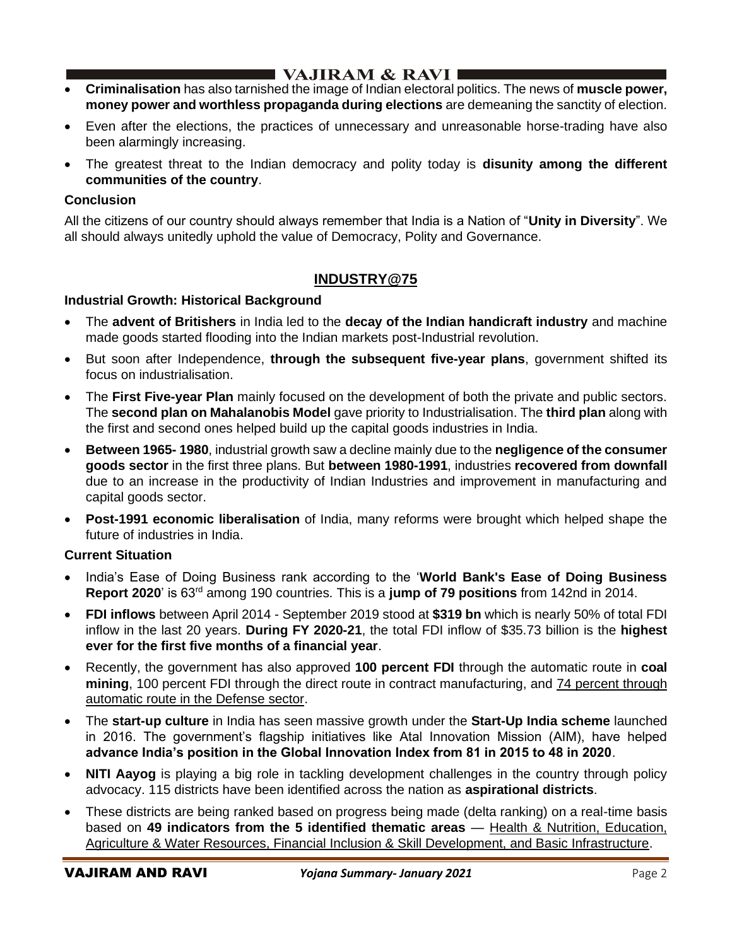- **Criminalisation** has also tarnished the image of Indian electoral politics. The news of **muscle power, money power and worthless propaganda during elections** are demeaning the sanctity of election.
- Even after the elections, the practices of unnecessary and unreasonable horse-trading have also been alarmingly increasing.
- The greatest threat to the Indian democracy and polity today is **disunity among the different communities of the country**.

### **Conclusion**

All the citizens of our country should always remember that India is a Nation of "**Unity in Diversity**". We all should always unitedly uphold the value of Democracy, Polity and Governance.

## **INDUSTRY@75**

#### **Industrial Growth: Historical Background**

- The **advent of Britishers** in India led to the **decay of the Indian handicraft industry** and machine made goods started flooding into the Indian markets post-Industrial revolution.
- But soon after Independence, **through the subsequent five-year plans**, government shifted its focus on industrialisation.
- The **First Five-year Plan** mainly focused on the development of both the private and public sectors. The **second plan on Mahalanobis Model** gave priority to Industrialisation. The **third plan** along with the first and second ones helped build up the capital goods industries in India.
- **Between 1965- 1980**, industrial growth saw a decline mainly due to the **negligence of the consumer goods sector** in the first three plans. But **between 1980-1991**, industries **recovered from downfall** due to an increase in the productivity of Indian Industries and improvement in manufacturing and capital goods sector.
- **Post-1991 economic liberalisation** of India, many reforms were brought which helped shape the future of industries in India.

#### **Current Situation**

- India's Ease of Doing Business rank according to the '**World Bank's Ease of Doing Business Report 2020**' is 63rd among 190 countries. This is a **jump of 79 positions** from 142nd in 2014.
- **FDI inflows** between April 2014 September 2019 stood at **\$319 bn** which is nearly 50% of total FDI inflow in the last 20 years. **During FY 2020-21**, the total FDI inflow of \$35.73 billion is the **highest ever for the first five months of a financial year**.
- Recently, the government has also approved **100 percent FDI** through the automatic route in **coal mining**, 100 percent FDI through the direct route in contract manufacturing, and 74 percent through automatic route in the Defense sector.
- The **start-up culture** in India has seen massive growth under the **Start-Up India scheme** launched in 2016. The government's flagship initiatives like Atal Innovation Mission (AIM), have helped **advance India's position in the Global Innovation Index from 81 in 2015 to 48 in 2020**.
- **NITI Aayog** is playing a big role in tackling development challenges in the country through policy advocacy. 115 districts have been identified across the nation as **aspirational districts**.
- These districts are being ranked based on progress being made (delta ranking) on a real-time basis based on **49 indicators from the 5 identified thematic areas** — Health & Nutrition, Education, Agriculture & Water Resources, Financial Inclusion & Skill Development, and Basic Infrastructure.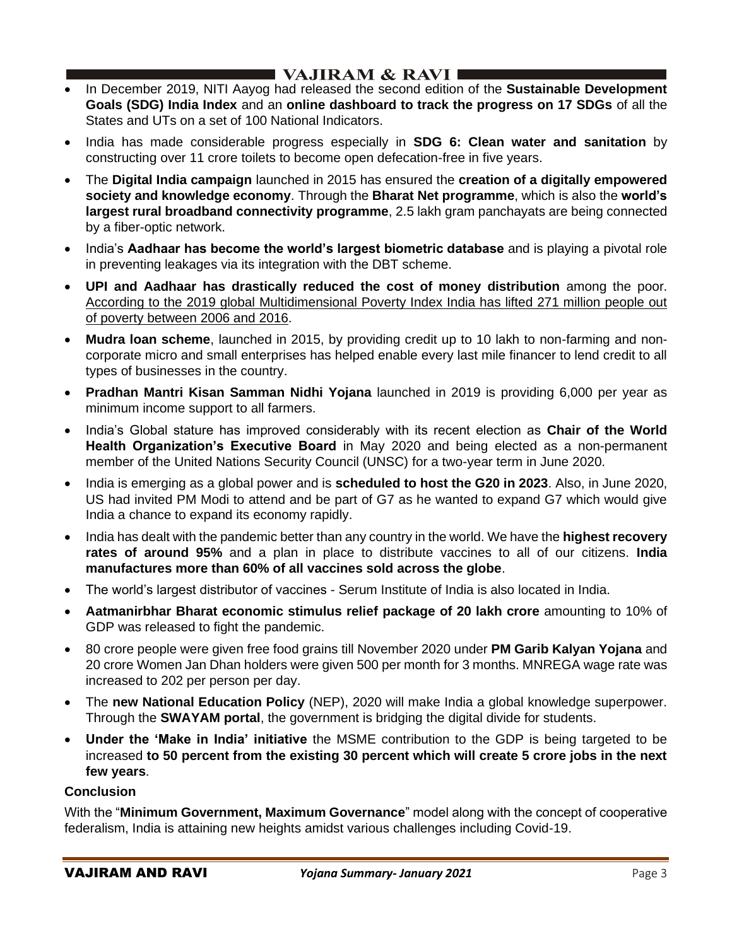- In December 2019, NITI Aayog had released the second edition of the **Sustainable Development Goals (SDG) India Index** and an **online dashboard to track the progress on 17 SDGs** of all the States and UTs on a set of 100 National Indicators.
- India has made considerable progress especially in **SDG 6: Clean water and sanitation** by constructing over 11 crore toilets to become open defecation-free in five years.
- The **Digital India campaign** launched in 2015 has ensured the **creation of a digitally empowered society and knowledge economy**. Through the **Bharat Net programme**, which is also the **world's largest rural broadband connectivity programme**, 2.5 lakh gram panchayats are being connected by a fiber-optic network.
- India's **Aadhaar has become the world's largest biometric database** and is playing a pivotal role in preventing leakages via its integration with the DBT scheme.
- **UPI and Aadhaar has drastically reduced the cost of money distribution** among the poor. According to the 2019 global Multidimensional Poverty Index India has lifted 271 million people out of poverty between 2006 and 2016.
- **Mudra loan scheme**, launched in 2015, by providing credit up to 10 lakh to non-farming and noncorporate micro and small enterprises has helped enable every last mile financer to lend credit to all types of businesses in the country.
- **Pradhan Mantri Kisan Samman Nidhi Yojana** launched in 2019 is providing 6,000 per year as minimum income support to all farmers.
- India's Global stature has improved considerably with its recent election as **Chair of the World Health Organization's Executive Board** in May 2020 and being elected as a non-permanent member of the United Nations Security Council (UNSC) for a two-year term in June 2020.
- India is emerging as a global power and is **scheduled to host the G20 in 2023**. Also, in June 2020, US had invited PM Modi to attend and be part of G7 as he wanted to expand G7 which would give India a chance to expand its economy rapidly.
- India has dealt with the pandemic better than any country in the world. We have the **highest recovery rates of around 95%** and a plan in place to distribute vaccines to all of our citizens. **India manufactures more than 60% of all vaccines sold across the globe**.
- The world's largest distributor of vaccines Serum Institute of India is also located in India.
- **Aatmanirbhar Bharat economic stimulus relief package of 20 lakh crore** amounting to 10% of GDP was released to fight the pandemic.
- 80 crore people were given free food grains till November 2020 under **PM Garib Kalyan Yojana** and 20 crore Women Jan Dhan holders were given 500 per month for 3 months. MNREGA wage rate was increased to 202 per person per day.
- The **new National Education Policy** (NEP), 2020 will make India a global knowledge superpower. Through the **SWAYAM portal**, the government is bridging the digital divide for students.
- **Under the 'Make in India' initiative** the MSME contribution to the GDP is being targeted to be increased **to 50 percent from the existing 30 percent which will create 5 crore jobs in the next few years**.

### **Conclusion**

With the "**Minimum Government, Maximum Governance**" model along with the concept of cooperative federalism, India is attaining new heights amidst various challenges including Covid-19.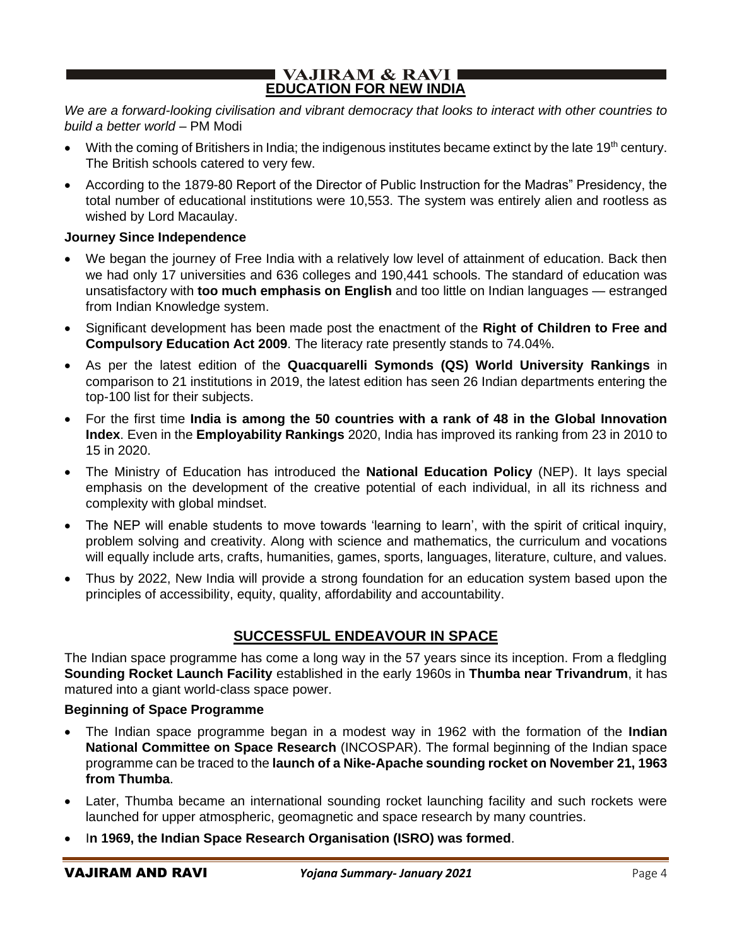#### I VAJIRAM & RAVI ∎ **EDUCATION FOR NEW INDIA**

*We are a forward-looking civilisation and vibrant democracy that looks to interact with other countries to build a better world* – PM Modi

- With the coming of Britishers in India; the indigenous institutes became extinct by the late 19<sup>th</sup> century. The British schools catered to very few.
- According to the 1879-80 Report of the Director of Public Instruction for the Madras" Presidency, the total number of educational institutions were 10,553. The system was entirely alien and rootless as wished by Lord Macaulay.

#### **Journey Since Independence**

- We began the journey of Free India with a relatively low level of attainment of education. Back then we had only 17 universities and 636 colleges and 190,441 schools. The standard of education was unsatisfactory with **too much emphasis on English** and too little on Indian languages — estranged from Indian Knowledge system.
- Significant development has been made post the enactment of the **Right of Children to Free and Compulsory Education Act 2009**. The literacy rate presently stands to 74.04%.
- As per the latest edition of the **Quacquarelli Symonds (QS) World University Rankings** in comparison to 21 institutions in 2019, the latest edition has seen 26 Indian departments entering the top-100 list for their subjects.
- For the first time **India is among the 50 countries with a rank of 48 in the Global Innovation Index**. Even in the **Employability Rankings** 2020, India has improved its ranking from 23 in 2010 to 15 in 2020.
- The Ministry of Education has introduced the **National Education Policy** (NEP). It lays special emphasis on the development of the creative potential of each individual, in all its richness and complexity with global mindset.
- The NEP will enable students to move towards 'learning to learn', with the spirit of critical inquiry, problem solving and creativity. Along with science and mathematics, the curriculum and vocations will equally include arts, crafts, humanities, games, sports, languages, literature, culture, and values.
- Thus by 2022, New India will provide a strong foundation for an education system based upon the principles of accessibility, equity, quality, affordability and accountability.

# **SUCCESSFUL ENDEAVOUR IN SPACE**

The Indian space programme has come a long way in the 57 years since its inception. From a fledgling **Sounding Rocket Launch Facility** established in the early 1960s in **Thumba near Trivandrum**, it has matured into a giant world-class space power.

#### **Beginning of Space Programme**

- The Indian space programme began in a modest way in 1962 with the formation of the **Indian National Committee on Space Research** (INCOSPAR). The formal beginning of the Indian space programme can be traced to the **launch of a Nike-Apache sounding rocket on November 21, 1963 from Thumba**.
- Later, Thumba became an international sounding rocket launching facility and such rockets were launched for upper atmospheric, geomagnetic and space research by many countries.
- I**n 1969, the Indian Space Research Organisation (ISRO) was formed**.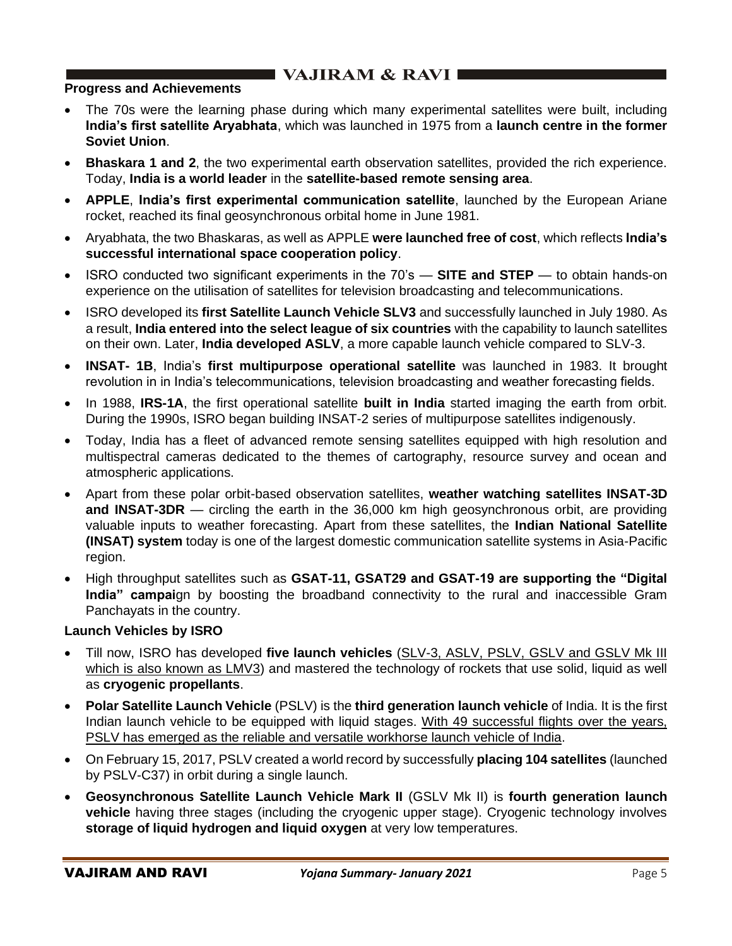# $\blacksquare$  VAJIRAM & RAVI

### **Progress and Achievements**

- The 70s were the learning phase during which many experimental satellites were built, including **India's first satellite Aryabhata**, which was launched in 1975 from a **launch centre in the former Soviet Union**.
- **Bhaskara 1 and 2**, the two experimental earth observation satellites, provided the rich experience. Today, **India is a world leader** in the **satellite-based remote sensing area**.
- **APPLE**, **India's first experimental communication satellite**, launched by the European Ariane rocket, reached its final geosynchronous orbital home in June 1981.
- Aryabhata, the two Bhaskaras, as well as APPLE **were launched free of cost**, which reflects **India's successful international space cooperation policy**.
- ISRO conducted two significant experiments in the 70's **SITE and STEP** to obtain hands-on experience on the utilisation of satellites for television broadcasting and telecommunications.
- ISRO developed its **first Satellite Launch Vehicle SLV3** and successfully launched in July 1980. As a result, **India entered into the select league of six countries** with the capability to launch satellites on their own. Later, **India developed ASLV**, a more capable launch vehicle compared to SLV-3.
- **INSAT- 1B**, India's **first multipurpose operational satellite** was launched in 1983. It brought revolution in in India's telecommunications, television broadcasting and weather forecasting fields.
- In 1988, **IRS-1A**, the first operational satellite **built in India** started imaging the earth from orbit. During the 1990s, ISRO began building INSAT-2 series of multipurpose satellites indigenously.
- Today, India has a fleet of advanced remote sensing satellites equipped with high resolution and multispectral cameras dedicated to the themes of cartography, resource survey and ocean and atmospheric applications.
- Apart from these polar orbit-based observation satellites, **weather watching satellites INSAT-3D and INSAT-3DR** — circling the earth in the 36,000 km high geosynchronous orbit, are providing valuable inputs to weather forecasting. Apart from these satellites, the **Indian National Satellite (INSAT) system** today is one of the largest domestic communication satellite systems in Asia-Pacific region.
- High throughput satellites such as **GSAT-11, GSAT29 and GSAT-19 are supporting the "Digital India" campai**gn by boosting the broadband connectivity to the rural and inaccessible Gram Panchayats in the country.

## **Launch Vehicles by ISRO**

- Till now, ISRO has developed **five launch vehicles** (SLV-3, ASLV, PSLV, GSLV and GSLV Mk III which is also known as LMV3) and mastered the technology of rockets that use solid, liquid as well as **cryogenic propellants**.
- **Polar Satellite Launch Vehicle** (PSLV) is the **third generation launch vehicle** of India. It is the first Indian launch vehicle to be equipped with liquid stages. With 49 successful flights over the years, PSLV has emerged as the reliable and versatile workhorse launch vehicle of India.
- On February 15, 2017, PSLV created a world record by successfully **placing 104 satellites** (launched by PSLV-C37) in orbit during a single launch.
- **Geosynchronous Satellite Launch Vehicle Mark II** (GSLV Mk II) is **fourth generation launch vehicle** having three stages (including the cryogenic upper stage). Cryogenic technology involves **storage of liquid hydrogen and liquid oxygen** at very low temperatures.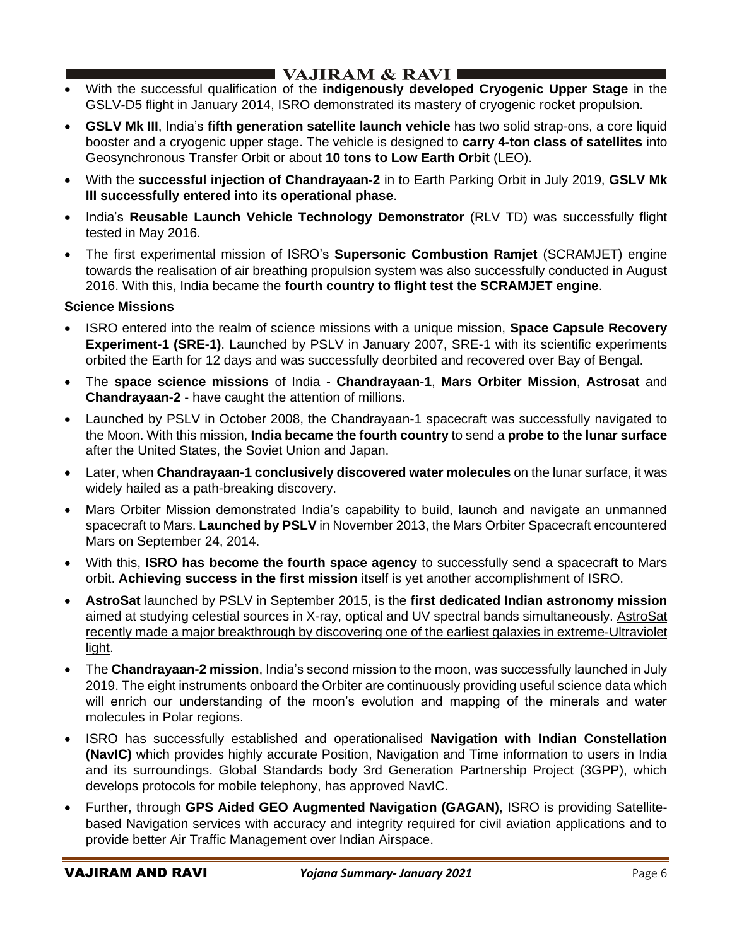## I VAJIRAM & RAVI ∎

- With the successful qualification of the **indigenously developed Cryogenic Upper Stage** in the GSLV-D5 flight in January 2014, ISRO demonstrated its mastery of cryogenic rocket propulsion.
- **GSLV Mk III**, India's **fifth generation satellite launch vehicle** has two solid strap-ons, a core liquid booster and a cryogenic upper stage. The vehicle is designed to **carry 4-ton class of satellites** into Geosynchronous Transfer Orbit or about **10 tons to Low Earth Orbit** (LEO).
- With the **successful injection of Chandrayaan-2** in to Earth Parking Orbit in July 2019, **GSLV Mk III successfully entered into its operational phase**.
- India's **Reusable Launch Vehicle Technology Demonstrator** (RLV TD) was successfully flight tested in May 2016.
- The first experimental mission of ISRO's **Supersonic Combustion Ramjet** (SCRAMJET) engine towards the realisation of air breathing propulsion system was also successfully conducted in August 2016. With this, India became the **fourth country to flight test the SCRAMJET engine**.

### **Science Missions**

- ISRO entered into the realm of science missions with a unique mission, **Space Capsule Recovery Experiment-1 (SRE-1)**. Launched by PSLV in January 2007, SRE-1 with its scientific experiments orbited the Earth for 12 days and was successfully deorbited and recovered over Bay of Bengal.
- The **space science missions** of India **Chandrayaan-1**, **Mars Orbiter Mission**, **Astrosat** and **Chandrayaan-2** - have caught the attention of millions.
- Launched by PSLV in October 2008, the Chandrayaan-1 spacecraft was successfully navigated to the Moon. With this mission, **India became the fourth country** to send a **probe to the lunar surface** after the United States, the Soviet Union and Japan.
- Later, when **Chandrayaan-1 conclusively discovered water molecules** on the lunar surface, it was widely hailed as a path-breaking discovery.
- Mars Orbiter Mission demonstrated India's capability to build, launch and navigate an unmanned spacecraft to Mars. **Launched by PSLV** in November 2013, the Mars Orbiter Spacecraft encountered Mars on September 24, 2014.
- With this, **ISRO has become the fourth space agency** to successfully send a spacecraft to Mars orbit. **Achieving success in the first mission** itself is yet another accomplishment of ISRO.
- **AstroSat** launched by PSLV in September 2015, is the **first dedicated Indian astronomy mission** aimed at studying celestial sources in X-ray, optical and UV spectral bands simultaneously. AstroSat recently made a major breakthrough by discovering one of the earliest galaxies in extreme-Ultraviolet light.
- The **Chandrayaan-2 mission**, India's second mission to the moon, was successfully launched in July 2019. The eight instruments onboard the Orbiter are continuously providing useful science data which will enrich our understanding of the moon's evolution and mapping of the minerals and water molecules in Polar regions.
- ISRO has successfully established and operationalised **Navigation with Indian Constellation (NavIC)** which provides highly accurate Position, Navigation and Time information to users in India and its surroundings. Global Standards body 3rd Generation Partnership Project (3GPP), which develops protocols for mobile telephony, has approved NavIC.
- Further, through **GPS Aided GEO Augmented Navigation (GAGAN)**, ISRO is providing Satellitebased Navigation services with accuracy and integrity required for civil aviation applications and to provide better Air Traffic Management over Indian Airspace.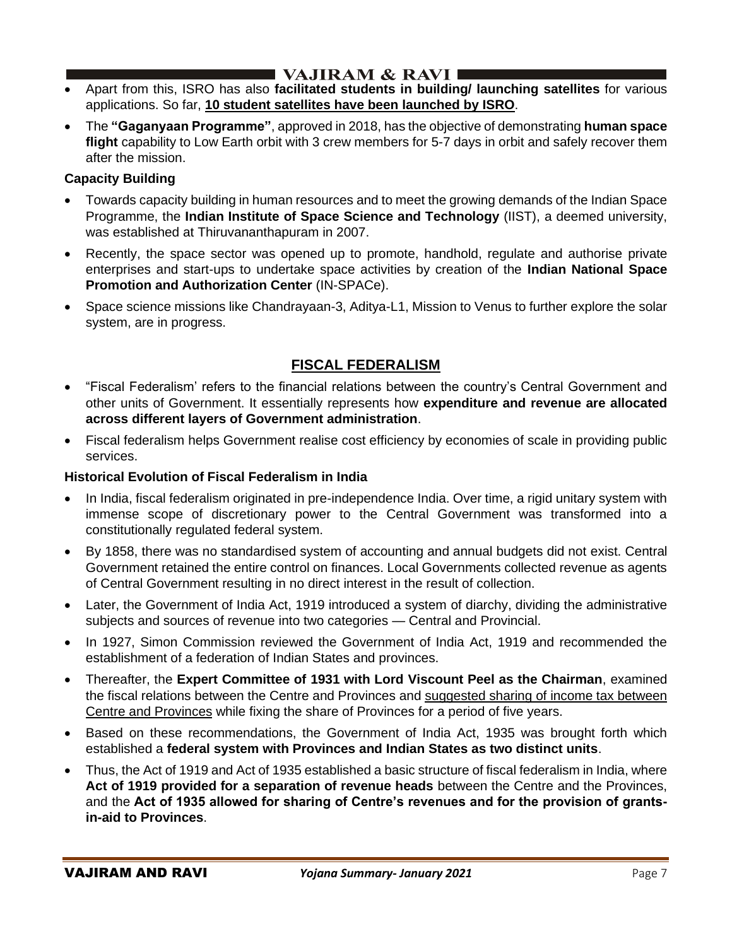## I VAJIRAM & RAVI I

- Apart from this, ISRO has also **facilitated students in building/ launching satellites** for various applications. So far, **10 student satellites have been launched by ISRO**.
- The **"Gaganyaan Programme"**, approved in 2018, has the objective of demonstrating **human space flight** capability to Low Earth orbit with 3 crew members for 5-7 days in orbit and safely recover them after the mission.

### **Capacity Building**

- Towards capacity building in human resources and to meet the growing demands of the Indian Space Programme, the **Indian Institute of Space Science and Technology** (IIST), a deemed university, was established at Thiruvananthapuram in 2007.
- Recently, the space sector was opened up to promote, handhold, regulate and authorise private enterprises and start-ups to undertake space activities by creation of the **Indian National Space Promotion and Authorization Center** (IN-SPACe).
- Space science missions like Chandrayaan-3, Aditya-L1, Mission to Venus to further explore the solar system, are in progress.

## **FISCAL FEDERALISM**

- "Fiscal Federalism' refers to the financial relations between the country's Central Government and other units of Government. It essentially represents how **expenditure and revenue are allocated across different layers of Government administration**.
- Fiscal federalism helps Government realise cost efficiency by economies of scale in providing public services.

### **Historical Evolution of Fiscal Federalism in India**

- In India, fiscal federalism originated in pre-independence India. Over time, a rigid unitary system with immense scope of discretionary power to the Central Government was transformed into a constitutionally regulated federal system.
- By 1858, there was no standardised system of accounting and annual budgets did not exist. Central Government retained the entire control on finances. Local Governments collected revenue as agents of Central Government resulting in no direct interest in the result of collection.
- Later, the Government of India Act, 1919 introduced a system of diarchy, dividing the administrative subjects and sources of revenue into two categories — Central and Provincial.
- In 1927, Simon Commission reviewed the Government of India Act, 1919 and recommended the establishment of a federation of Indian States and provinces.
- Thereafter, the **Expert Committee of 1931 with Lord Viscount Peel as the Chairman**, examined the fiscal relations between the Centre and Provinces and suggested sharing of income tax between Centre and Provinces while fixing the share of Provinces for a period of five years.
- Based on these recommendations, the Government of India Act, 1935 was brought forth which established a **federal system with Provinces and Indian States as two distinct units**.
- Thus, the Act of 1919 and Act of 1935 established a basic structure of fiscal federalism in India, where **Act of 1919 provided for a separation of revenue heads** between the Centre and the Provinces, and the **Act of 1935 allowed for sharing of Centre's revenues and for the provision of grantsin-aid to Provinces**.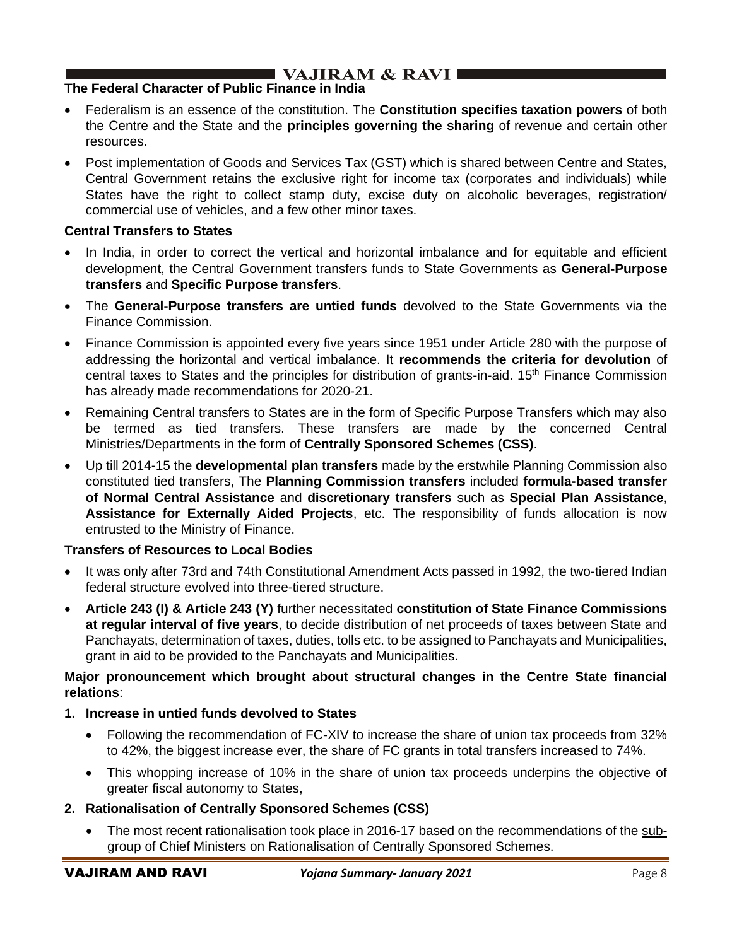### **The Federal Character of Public Finance in India**

- Federalism is an essence of the constitution. The **Constitution specifies taxation powers** of both the Centre and the State and the **principles governing the sharing** of revenue and certain other resources.
- Post implementation of Goods and Services Tax (GST) which is shared between Centre and States, Central Government retains the exclusive right for income tax (corporates and individuals) while States have the right to collect stamp duty, excise duty on alcoholic beverages, registration/ commercial use of vehicles, and a few other minor taxes.

#### **Central Transfers to States**

- In India, in order to correct the vertical and horizontal imbalance and for equitable and efficient development, the Central Government transfers funds to State Governments as **General-Purpose transfers** and **Specific Purpose transfers**.
- The **General-Purpose transfers are untied funds** devolved to the State Governments via the Finance Commission.
- Finance Commission is appointed every five years since 1951 under Article 280 with the purpose of addressing the horizontal and vertical imbalance. It **recommends the criteria for devolution** of central taxes to States and the principles for distribution of grants-in-aid. 15th Finance Commission has already made recommendations for 2020-21.
- Remaining Central transfers to States are in the form of Specific Purpose Transfers which may also be termed as tied transfers. These transfers are made by the concerned Central Ministries/Departments in the form of **Centrally Sponsored Schemes (CSS)**.
- Up till 2014-15 the **developmental plan transfers** made by the erstwhile Planning Commission also constituted tied transfers, The **Planning Commission transfers** included **formula-based transfer of Normal Central Assistance** and **discretionary transfers** such as **Special Plan Assistance**, **Assistance for Externally Aided Projects**, etc. The responsibility of funds allocation is now entrusted to the Ministry of Finance.

#### **Transfers of Resources to Local Bodies**

- It was only after 73rd and 74th Constitutional Amendment Acts passed in 1992, the two-tiered Indian federal structure evolved into three-tiered structure.
- **Article 243 (I) & Article 243 (Y)** further necessitated **constitution of State Finance Commissions at regular interval of five years**, to decide distribution of net proceeds of taxes between State and Panchayats, determination of taxes, duties, tolls etc. to be assigned to Panchayats and Municipalities, grant in aid to be provided to the Panchayats and Municipalities.

#### **Major pronouncement which brought about structural changes in the Centre State financial relations**:

- **1. Increase in untied funds devolved to States**
	- Following the recommendation of FC-XIV to increase the share of union tax proceeds from 32% to 42%, the biggest increase ever, the share of FC grants in total transfers increased to 74%.
	- This whopping increase of 10% in the share of union tax proceeds underpins the objective of greater fiscal autonomy to States,
- **2. Rationalisation of Centrally Sponsored Schemes (CSS)**
	- The most recent rationalisation took place in 2016-17 based on the recommendations of the subgroup of Chief Ministers on Rationalisation of Centrally Sponsored Schemes.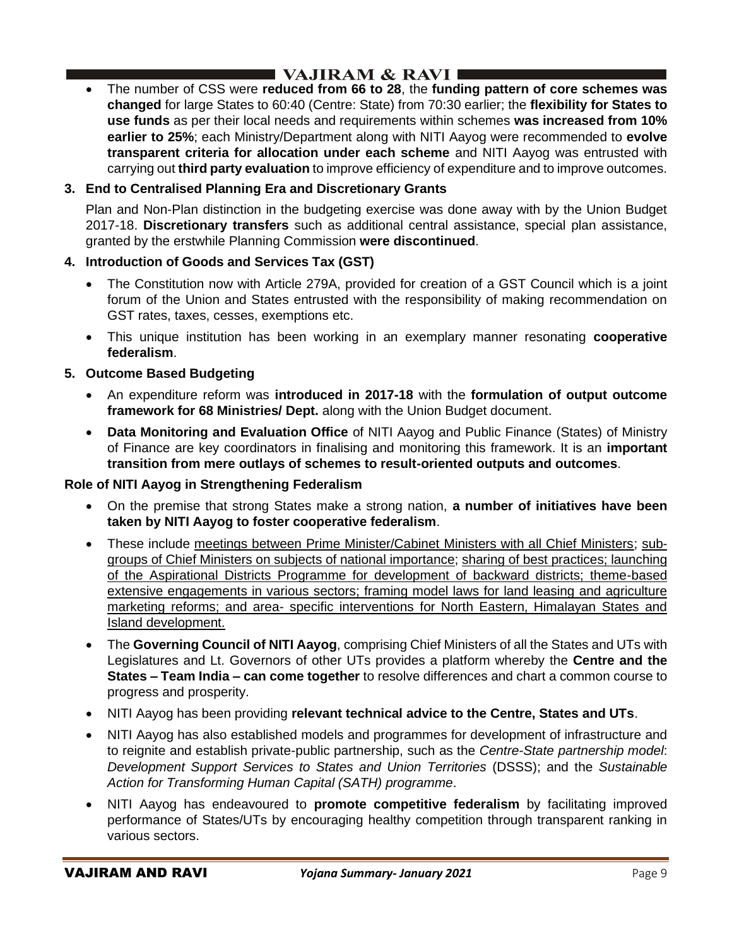• The number of CSS were **reduced from 66 to 28**, the **funding pattern of core schemes was changed** for large States to 60:40 (Centre: State) from 70:30 earlier; the **flexibility for States to use funds** as per their local needs and requirements within schemes **was increased from 10% earlier to 25%**; each Ministry/Department along with NITI Aayog were recommended to **evolve transparent criteria for allocation under each scheme** and NITI Aayog was entrusted with carrying out **third party evaluation** to improve efficiency of expenditure and to improve outcomes.

## **3. End to Centralised Planning Era and Discretionary Grants**

Plan and Non-Plan distinction in the budgeting exercise was done away with by the Union Budget 2017-18. **Discretionary transfers** such as additional central assistance, special plan assistance, granted by the erstwhile Planning Commission **were discontinued**.

## **4. Introduction of Goods and Services Tax (GST)**

- The Constitution now with Article 279A, provided for creation of a GST Council which is a joint forum of the Union and States entrusted with the responsibility of making recommendation on GST rates, taxes, cesses, exemptions etc.
- This unique institution has been working in an exemplary manner resonating **cooperative federalism**.

## **5. Outcome Based Budgeting**

- An expenditure reform was **introduced in 2017-18** with the **formulation of output outcome framework for 68 Ministries/ Dept.** along with the Union Budget document.
- **Data Monitoring and Evaluation Office** of NITI Aayog and Public Finance (States) of Ministry of Finance are key coordinators in finalising and monitoring this framework. It is an **important transition from mere outlays of schemes to result-oriented outputs and outcomes**.

## **Role of NITI Aayog in Strengthening Federalism**

- On the premise that strong States make a strong nation, **a number of initiatives have been taken by NITI Aayog to foster cooperative federalism**.
- These include meetings between Prime Minister/Cabinet Ministers with all Chief Ministers; subgroups of Chief Ministers on subjects of national importance; sharing of best practices; launching of the Aspirational Districts Programme for development of backward districts; theme-based extensive engagements in various sectors; framing model laws for land leasing and agriculture marketing reforms; and area- specific interventions for North Eastern, Himalayan States and Island development.
- The **Governing Council of NITI Aayog**, comprising Chief Ministers of all the States and UTs with Legislatures and Lt. Governors of other UTs provides a platform whereby the **Centre and the States – Team India – can come together** to resolve differences and chart a common course to progress and prosperity.
- NITI Aayog has been providing **relevant technical advice to the Centre, States and UTs**.
- NITI Aayog has also established models and programmes for development of infrastructure and to reignite and establish private-public partnership, such as the *Centre-State partnership model*: *Development Support Services to States and Union Territories* (DSSS); and the *Sustainable Action for Transforming Human Capital (SATH) programme*.
- NITI Aayog has endeavoured to **promote competitive federalism** by facilitating improved performance of States/UTs by encouraging healthy competition through transparent ranking in various sectors.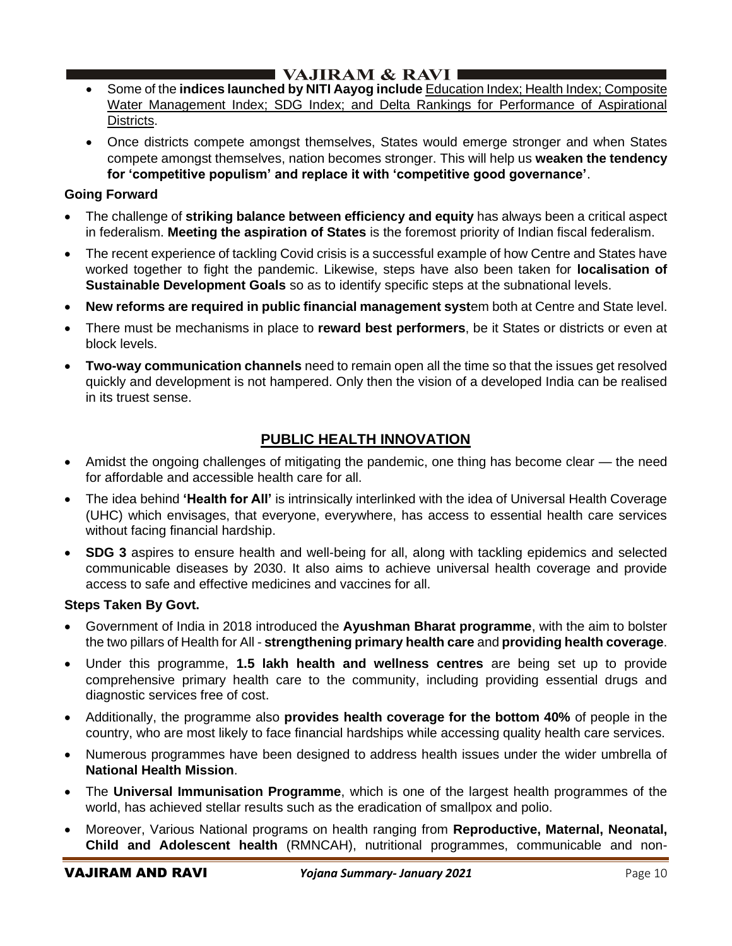- Some of the **indices launched by NITI Aayog include** Education Index; Health Index; Composite Water Management Index; SDG Index; and Delta Rankings for Performance of Aspirational Districts.
- Once districts compete amongst themselves, States would emerge stronger and when States compete amongst themselves, nation becomes stronger. This will help us **weaken the tendency for 'competitive populism' and replace it with 'competitive good governance'**.

### **Going Forward**

- The challenge of **striking balance between efficiency and equity** has always been a critical aspect in federalism. **Meeting the aspiration of States** is the foremost priority of Indian fiscal federalism.
- The recent experience of tackling Covid crisis is a successful example of how Centre and States have worked together to fight the pandemic. Likewise, steps have also been taken for **localisation of Sustainable Development Goals** so as to identify specific steps at the subnational levels.
- **New reforms are required in public financial management syst**em both at Centre and State level.
- There must be mechanisms in place to **reward best performers**, be it States or districts or even at block levels.
- **Two-way communication channels** need to remain open all the time so that the issues get resolved quickly and development is not hampered. Only then the vision of a developed India can be realised in its truest sense.

## **PUBLIC HEALTH INNOVATION**

- Amidst the ongoing challenges of mitigating the pandemic, one thing has become clear the need for affordable and accessible health care for all.
- The idea behind **'Health for All'** is intrinsically interlinked with the idea of Universal Health Coverage (UHC) which envisages, that everyone, everywhere, has access to essential health care services without facing financial hardship.
- **SDG 3** aspires to ensure health and well-being for all, along with tackling epidemics and selected communicable diseases by 2030. It also aims to achieve universal health coverage and provide access to safe and effective medicines and vaccines for all.

#### **Steps Taken By Govt.**

- Government of India in 2018 introduced the **Ayushman Bharat programme**, with the aim to bolster the two pillars of Health for All - **strengthening primary health care** and **providing health coverage**.
- Under this programme, **1.5 lakh health and wellness centres** are being set up to provide comprehensive primary health care to the community, including providing essential drugs and diagnostic services free of cost.
- Additionally, the programme also **provides health coverage for the bottom 40%** of people in the country, who are most likely to face financial hardships while accessing quality health care services.
- Numerous programmes have been designed to address health issues under the wider umbrella of **National Health Mission**.
- The **Universal Immunisation Programme**, which is one of the largest health programmes of the world, has achieved stellar results such as the eradication of smallpox and polio.
- Moreover, Various National programs on health ranging from **Reproductive, Maternal, Neonatal, Child and Adolescent health** (RMNCAH), nutritional programmes, communicable and non-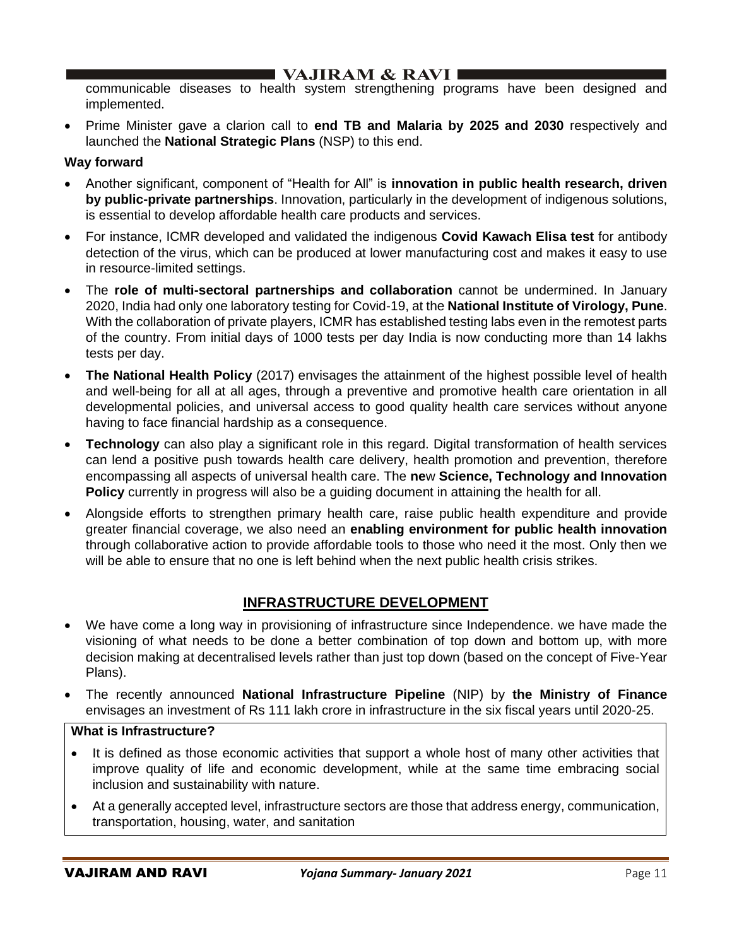communicable diseases to health system strengthening programs have been designed and implemented.

• Prime Minister gave a clarion call to **end TB and Malaria by 2025 and 2030** respectively and launched the **National Strategic Plans** (NSP) to this end.

### **Way forward**

- Another significant, component of "Health for All" is **innovation in public health research, driven by public-private partnerships**. Innovation, particularly in the development of indigenous solutions, is essential to develop affordable health care products and services.
- For instance, ICMR developed and validated the indigenous **Covid Kawach Elisa test** for antibody detection of the virus, which can be produced at lower manufacturing cost and makes it easy to use in resource-limited settings.
- The **role of multi-sectoral partnerships and collaboration** cannot be undermined. In January 2020, India had only one laboratory testing for Covid-19, at the **National Institute of Virology, Pune**. With the collaboration of private players, ICMR has established testing labs even in the remotest parts of the country. From initial days of 1000 tests per day India is now conducting more than 14 lakhs tests per day.
- **The National Health Policy** (2017) envisages the attainment of the highest possible level of health and well-being for all at all ages, through a preventive and promotive health care orientation in all developmental policies, and universal access to good quality health care services without anyone having to face financial hardship as a consequence.
- **Technology** can also play a significant role in this regard. Digital transformation of health services can lend a positive push towards health care delivery, health promotion and prevention, therefore encompassing all aspects of universal health care. The **ne**w **Science, Technology and Innovation Policy** currently in progress will also be a guiding document in attaining the health for all.
- Alongside efforts to strengthen primary health care, raise public health expenditure and provide greater financial coverage, we also need an **enabling environment for public health innovation** through collaborative action to provide affordable tools to those who need it the most. Only then we will be able to ensure that no one is left behind when the next public health crisis strikes.

## **INFRASTRUCTURE DEVELOPMENT**

- We have come a long way in provisioning of infrastructure since Independence. we have made the visioning of what needs to be done a better combination of top down and bottom up, with more decision making at decentralised levels rather than just top down (based on the concept of Five-Year Plans).
- The recently announced **National Infrastructure Pipeline** (NIP) by **the Ministry of Finance** envisages an investment of Rs 111 lakh crore in infrastructure in the six fiscal years until 2020-25.

#### **What is Infrastructure?**

- It is defined as those economic activities that support a whole host of many other activities that improve quality of life and economic development, while at the same time embracing social inclusion and sustainability with nature.
- At a generally accepted level, infrastructure sectors are those that address energy, communication, transportation, housing, water, and sanitation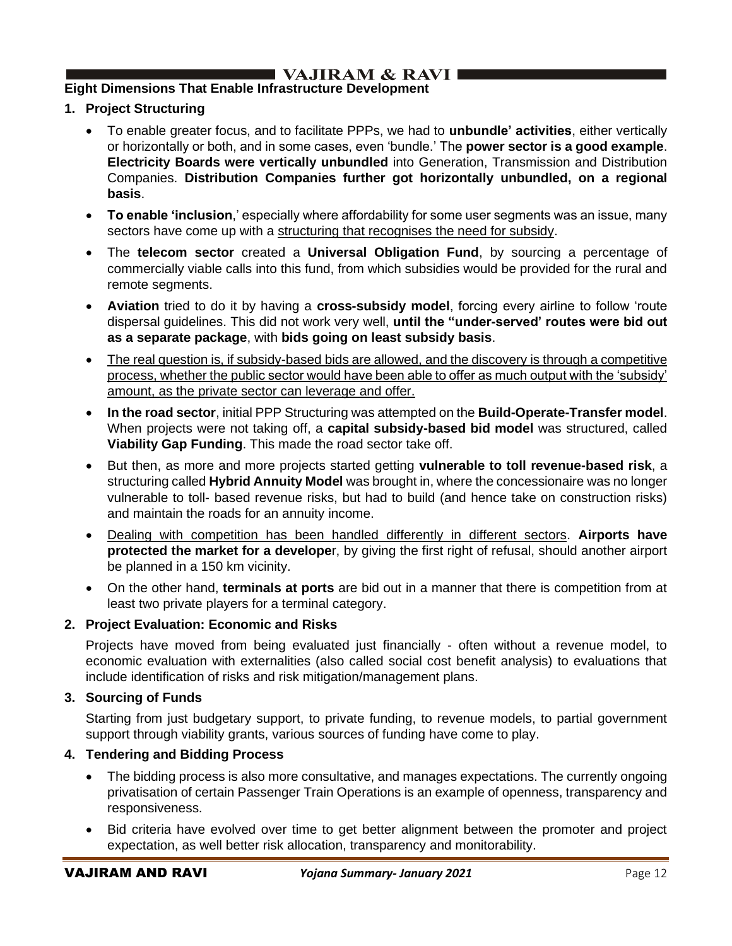## ■ VAJIRAM & RAVI I

### **Eight Dimensions That Enable Infrastructure Development**

- **1. Project Structuring**
	- To enable greater focus, and to facilitate PPPs, we had to **unbundle' activities**, either vertically or horizontally or both, and in some cases, even 'bundle.' The **power sector is a good example**. **Electricity Boards were vertically unbundled** into Generation, Transmission and Distribution Companies. **Distribution Companies further got horizontally unbundled, on a regional basis**.
	- **To enable 'inclusion**,' especially where affordability for some user segments was an issue, many sectors have come up with a structuring that recognises the need for subsidy.
	- The **telecom sector** created a **Universal Obligation Fund**, by sourcing a percentage of commercially viable calls into this fund, from which subsidies would be provided for the rural and remote segments.
	- **Aviation** tried to do it by having a **cross-subsidy model**, forcing every airline to follow 'route dispersal guidelines. This did not work very well, **until the "under-served' routes were bid out as a separate package**, with **bids going on least subsidy basis**.
	- The real question is, if subsidy-based bids are allowed, and the discovery is through a competitive process, whether the public sector would have been able to offer as much output with the 'subsidy' amount, as the private sector can leverage and offer.
	- **In the road sector**, initial PPP Structuring was attempted on the **Build-Operate-Transfer model**. When projects were not taking off, a **capital subsidy-based bid model** was structured, called **Viability Gap Funding**. This made the road sector take off.
	- But then, as more and more projects started getting **vulnerable to toll revenue-based risk**, a structuring called **Hybrid Annuity Model** was brought in, where the concessionaire was no longer vulnerable to toll- based revenue risks, but had to build (and hence take on construction risks) and maintain the roads for an annuity income.
	- Dealing with competition has been handled differently in different sectors. **Airports have protected the market for a develope**r, by giving the first right of refusal, should another airport be planned in a 150 km vicinity.
	- On the other hand, **terminals at ports** are bid out in a manner that there is competition from at least two private players for a terminal category.

#### **2. Project Evaluation: Economic and Risks**

Projects have moved from being evaluated just financially - often without a revenue model, to economic evaluation with externalities (also called social cost benefit analysis) to evaluations that include identification of risks and risk mitigation/management plans.

#### **3. Sourcing of Funds**

Starting from just budgetary support, to private funding, to revenue models, to partial government support through viability grants, various sources of funding have come to play.

#### **4. Tendering and Bidding Process**

- The bidding process is also more consultative, and manages expectations. The currently ongoing privatisation of certain Passenger Train Operations is an example of openness, transparency and responsiveness.
- Bid criteria have evolved over time to get better alignment between the promoter and project expectation, as well better risk allocation, transparency and monitorability.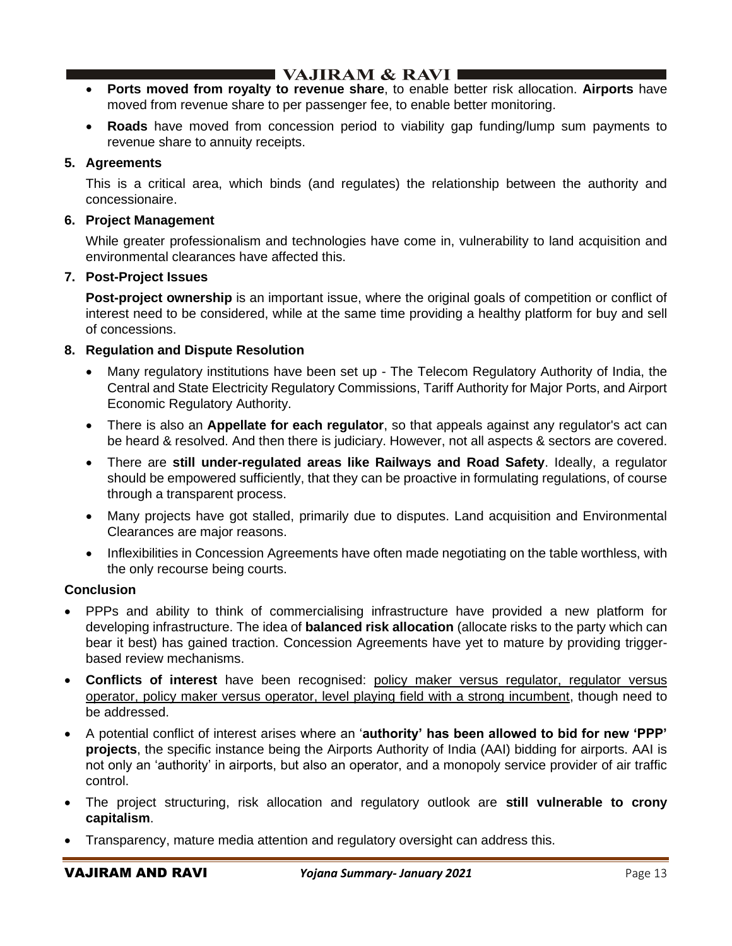- **Ports moved from royalty to revenue share**, to enable better risk allocation. **Airports** have moved from revenue share to per passenger fee, to enable better monitoring.
- **Roads** have moved from concession period to viability gap funding/lump sum payments to revenue share to annuity receipts.

### **5. Agreements**

This is a critical area, which binds (and regulates) the relationship between the authority and concessionaire.

#### **6. Project Management**

While greater professionalism and technologies have come in, vulnerability to land acquisition and environmental clearances have affected this.

### **7. Post-Project Issues**

**Post-project ownership** is an important issue, where the original goals of competition or conflict of interest need to be considered, while at the same time providing a healthy platform for buy and sell of concessions.

### **8. Regulation and Dispute Resolution**

- Many regulatory institutions have been set up The Telecom Regulatory Authority of India, the Central and State Electricity Regulatory Commissions, Tariff Authority for Major Ports, and Airport Economic Regulatory Authority.
- There is also an **Appellate for each regulator**, so that appeals against any regulator's act can be heard & resolved. And then there is judiciary. However, not all aspects & sectors are covered.
- There are **still under-regulated areas like Railways and Road Safety**. Ideally, a regulator should be empowered sufficiently, that they can be proactive in formulating regulations, of course through a transparent process.
- Many projects have got stalled, primarily due to disputes. Land acquisition and Environmental Clearances are major reasons.
- Inflexibilities in Concession Agreements have often made negotiating on the table worthless, with the only recourse being courts.

#### **Conclusion**

- PPPs and ability to think of commercialising infrastructure have provided a new platform for developing infrastructure. The idea of **balanced risk allocation** (allocate risks to the party which can bear it best) has gained traction. Concession Agreements have yet to mature by providing triggerbased review mechanisms.
- **Conflicts of interest** have been recognised: policy maker versus regulator, regulator versus operator, policy maker versus operator, level playing field with a strong incumbent, though need to be addressed.
- A potential conflict of interest arises where an '**authority' has been allowed to bid for new 'PPP' projects**, the specific instance being the Airports Authority of India (AAI) bidding for airports. AAI is not only an 'authority' in airports, but also an operator, and a monopoly service provider of air traffic control.
- The project structuring, risk allocation and regulatory outlook are **still vulnerable to crony capitalism**.
- Transparency, mature media attention and regulatory oversight can address this.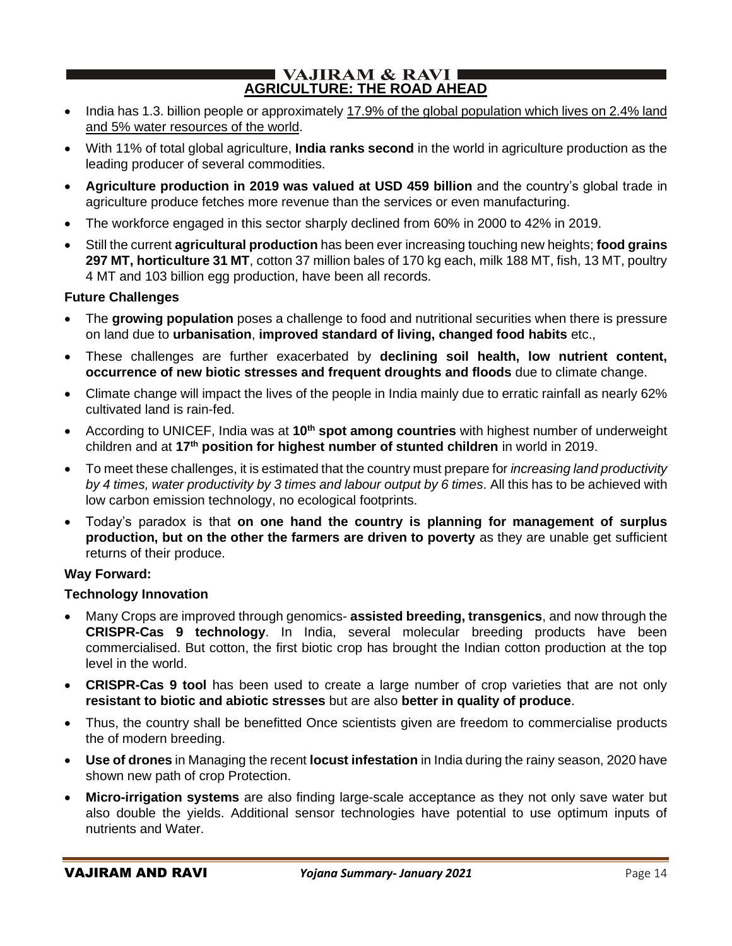### $\blacksquare$  VAJIRAM & RAVI $\blacksquare$ **AGRICULTURE: THE ROAD AHEAD**

- India has 1.3. billion people or approximately 17.9% of the global population which lives on 2.4% land and 5% water resources of the world.
- With 11% of total global agriculture, **India ranks second** in the world in agriculture production as the leading producer of several commodities.
- **Agriculture production in 2019 was valued at USD 459 billion** and the country's global trade in agriculture produce fetches more revenue than the services or even manufacturing.
- The workforce engaged in this sector sharply declined from 60% in 2000 to 42% in 2019.
- Still the current **agricultural production** has been ever increasing touching new heights; **food grains 297 MT, horticulture 31 MT**, cotton 37 million bales of 170 kg each, milk 188 MT, fish, 13 MT, poultry 4 MT and 103 billion egg production, have been all records.

#### **Future Challenges**

- The **growing population** poses a challenge to food and nutritional securities when there is pressure on land due to **urbanisation**, **improved standard of living, changed food habits** etc.,
- These challenges are further exacerbated by **declining soil health, low nutrient content, occurrence of new biotic stresses and frequent droughts and floods** due to climate change.
- Climate change will impact the lives of the people in India mainly due to erratic rainfall as nearly 62% cultivated land is rain-fed.
- According to UNICEF, India was at **10th spot among countries** with highest number of underweight children and at **17th position for highest number of stunted children** in world in 2019.
- To meet these challenges, it is estimated that the country must prepare for *increasing land productivity by 4 times, water productivity by 3 times and labour output by 6 times*. All this has to be achieved with low carbon emission technology, no ecological footprints.
- Today's paradox is that **on one hand the country is planning for management of surplus production, but on the other the farmers are driven to poverty** as they are unable get sufficient returns of their produce.

#### **Way Forward:**

#### **Technology Innovation**

- Many Crops are improved through genomics- **assisted breeding, transgenics**, and now through the **CRISPR-Cas 9 technology**. In India, several molecular breeding products have been commercialised. But cotton, the first biotic crop has brought the Indian cotton production at the top level in the world.
- **CRISPR-Cas 9 tool** has been used to create a large number of crop varieties that are not only **resistant to biotic and abiotic stresses** but are also **better in quality of produce**.
- Thus, the country shall be benefitted Once scientists given are freedom to commercialise products the of modern breeding.
- **Use of drones** in Managing the recent **locust infestation** in India during the rainy season, 2020 have shown new path of crop Protection.
- **Micro-irrigation systems** are also finding large-scale acceptance as they not only save water but also double the yields. Additional sensor technologies have potential to use optimum inputs of nutrients and Water.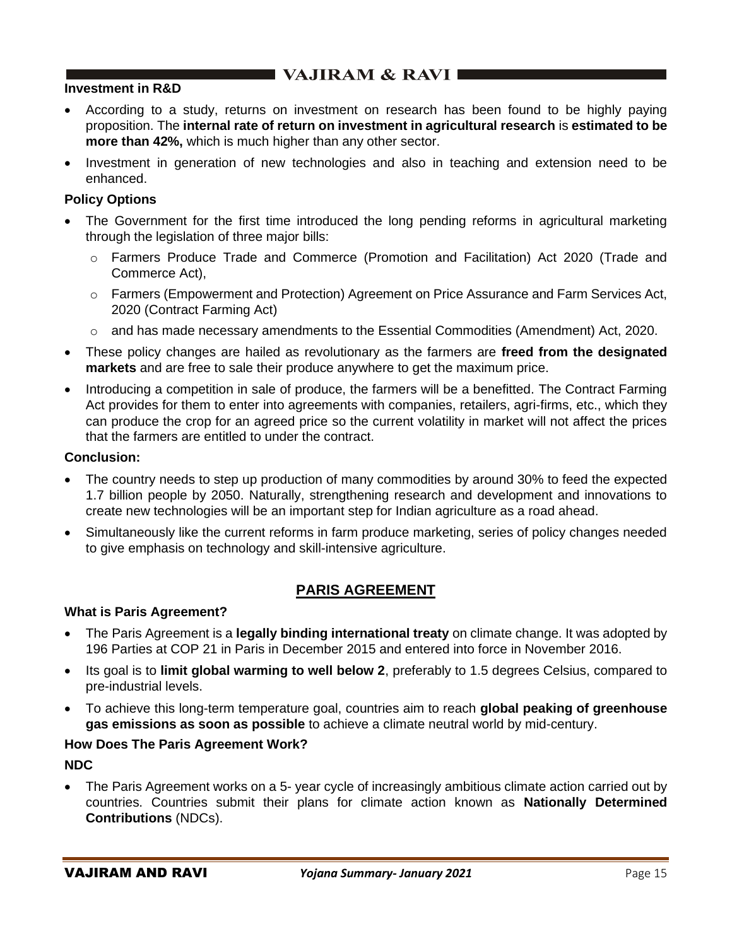#### **Investment in R&D**

- According to a study, returns on investment on research has been found to be highly paying proposition. The **internal rate of return on investment in agricultural research** is **estimated to be more than 42%,** which is much higher than any other sector.
- Investment in generation of new technologies and also in teaching and extension need to be enhanced.

#### **Policy Options**

- The Government for the first time introduced the long pending reforms in agricultural marketing through the legislation of three major bills:
	- o Farmers Produce Trade and Commerce (Promotion and Facilitation) Act 2020 (Trade and Commerce Act),
	- o Farmers (Empowerment and Protection) Agreement on Price Assurance and Farm Services Act, 2020 (Contract Farming Act)
	- o and has made necessary amendments to the Essential Commodities (Amendment) Act, 2020.
- These policy changes are hailed as revolutionary as the farmers are **freed from the designated markets** and are free to sale their produce anywhere to get the maximum price.
- Introducing a competition in sale of produce, the farmers will be a benefitted. The Contract Farming Act provides for them to enter into agreements with companies, retailers, agri-firms, etc., which they can produce the crop for an agreed price so the current volatility in market will not affect the prices that the farmers are entitled to under the contract.

#### **Conclusion:**

- The country needs to step up production of many commodities by around 30% to feed the expected 1.7 billion people by 2050. Naturally, strengthening research and development and innovations to create new technologies will be an important step for Indian agriculture as a road ahead.
- Simultaneously like the current reforms in farm produce marketing, series of policy changes needed to give emphasis on technology and skill-intensive agriculture.

## **PARIS AGREEMENT**

#### **What is Paris Agreement?**

- The Paris Agreement is a **legally binding international treaty** on climate change. It was adopted by 196 Parties at COP 21 in Paris in December 2015 and entered into force in November 2016.
- Its goal is to **limit global warming to well below 2**, preferably to 1.5 degrees Celsius, compared to pre-industrial levels.
- To achieve this long-term temperature goal, countries aim to reach **global peaking of greenhouse gas emissions as soon as possible** to achieve a climate neutral world by mid-century.

#### **How Does The Paris Agreement Work?**

**NDC** 

• The Paris Agreement works on a 5- year cycle of increasingly ambitious climate action carried out by countries. Countries submit their plans for climate action known as **Nationally Determined Contributions** (NDCs).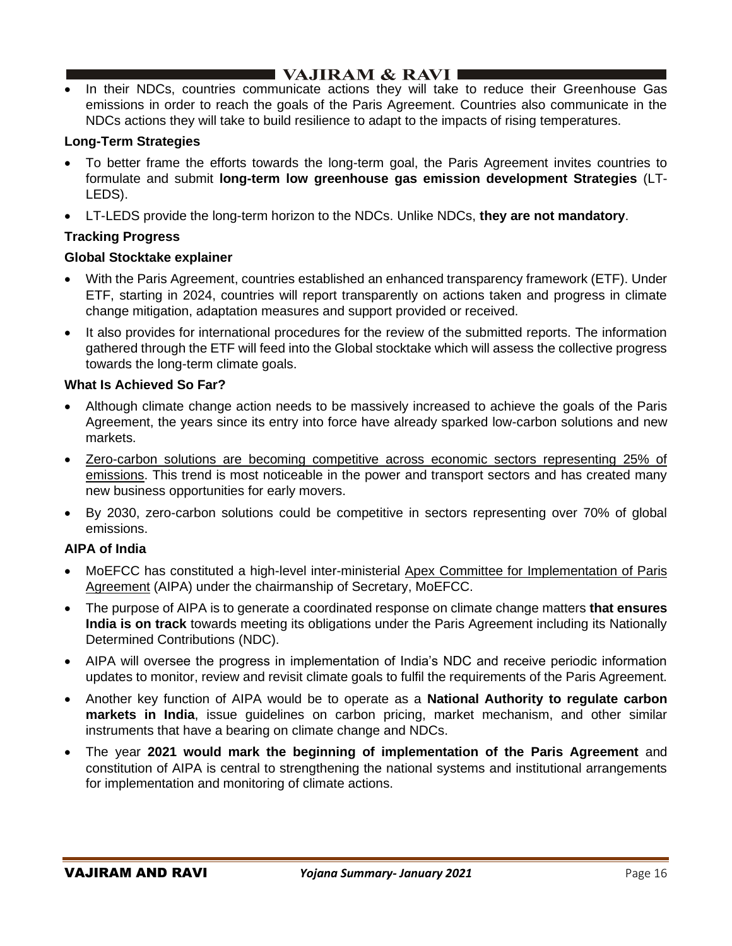• In their NDCs, countries communicate actions they will take to reduce their Greenhouse Gas emissions in order to reach the goals of the Paris Agreement. Countries also communicate in the NDCs actions they will take to build resilience to adapt to the impacts of rising temperatures.

### **Long-Term Strategies**

- To better frame the efforts towards the long-term goal, the Paris Agreement invites countries to formulate and submit **long-term low greenhouse gas emission development Strategies** (LT-LEDS).
- LT-LEDS provide the long-term horizon to the NDCs. Unlike NDCs, **they are not mandatory**.

#### **Tracking Progress**

#### **Global Stocktake explainer**

- With the Paris Agreement, countries established an enhanced transparency framework (ETF). Under ETF, starting in 2024, countries will report transparently on actions taken and progress in climate change mitigation, adaptation measures and support provided or received.
- It also provides for international procedures for the review of the submitted reports. The information gathered through the ETF will feed into the Global stocktake which will assess the collective progress towards the long-term climate goals.

#### **What Is Achieved So Far?**

- Although climate change action needs to be massively increased to achieve the goals of the Paris Agreement, the years since its entry into force have already sparked low-carbon solutions and new markets.
- Zero-carbon solutions are becoming competitive across economic sectors representing 25% of emissions. This trend is most noticeable in the power and transport sectors and has created many new business opportunities for early movers.
- By 2030, zero-carbon solutions could be competitive in sectors representing over 70% of global emissions.

#### **AIPA of India**

- MoEFCC has constituted a high-level inter-ministerial Apex Committee for Implementation of Paris Agreement (AIPA) under the chairmanship of Secretary, MoEFCC.
- The purpose of AIPA is to generate a coordinated response on climate change matters **that ensures India is on track** towards meeting its obligations under the Paris Agreement including its Nationally Determined Contributions (NDC).
- AIPA will oversee the progress in implementation of India's NDC and receive periodic information updates to monitor, review and revisit climate goals to fulfil the requirements of the Paris Agreement.
- Another key function of AIPA would be to operate as a **National Authority to regulate carbon markets in India**, issue guidelines on carbon pricing, market mechanism, and other similar instruments that have a bearing on climate change and NDCs.
- The year **2021 would mark the beginning of implementation of the Paris Agreement** and constitution of AIPA is central to strengthening the national systems and institutional arrangements for implementation and monitoring of climate actions.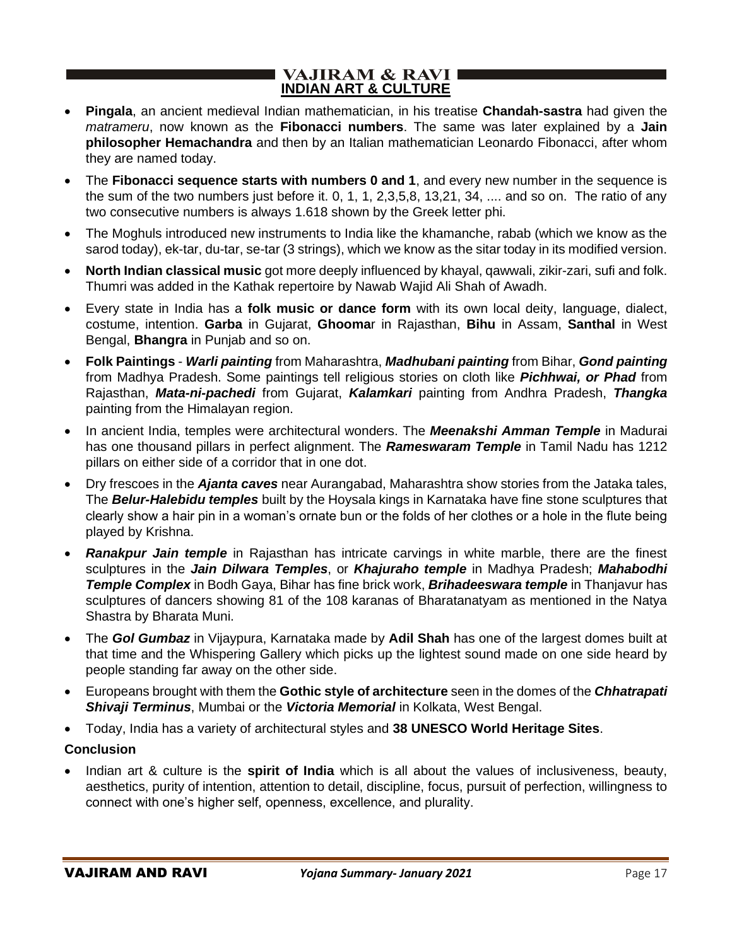#### **VAJIRAM & RAVI I INDIAN ART & CULTURE**

- **Pingala**, an ancient medieval Indian mathematician, in his treatise **Chandah-sastra** had given the *matrameru*, now known as the **Fibonacci numbers**. The same was later explained by a **Jain philosopher Hemachandra** and then by an Italian mathematician Leonardo Fibonacci, after whom they are named today.
- The **Fibonacci sequence starts with numbers 0 and 1**, and every new number in the sequence is the sum of the two numbers just before it. 0, 1, 1, 2,3,5,8, 13,21, 34, .... and so on. The ratio of any two consecutive numbers is always 1.618 shown by the Greek letter phi.
- The Moghuls introduced new instruments to India like the khamanche, rabab (which we know as the sarod today), ek-tar, du-tar, se-tar (3 strings), which we know as the sitar today in its modified version.
- **North Indian classical music** got more deeply influenced by khayal, qawwali, zikir-zari, sufi and folk. Thumri was added in the Kathak repertoire by Nawab Wajid Ali Shah of Awadh.
- Every state in India has a **folk music or dance form** with its own local deity, language, dialect, costume, intention. **Garba** in Gujarat, **Ghooma**r in Rajasthan, **Bihu** in Assam, **Santhal** in West Bengal, **Bhangra** in Punjab and so on.
- **Folk Paintings** *Warli painting* from Maharashtra, *Madhubani painting* from Bihar, *Gond painting* from Madhya Pradesh. Some paintings tell religious stories on cloth like *Pichhwai, or Phad* from Rajasthan, *Mata-ni-pachedi* from Gujarat, *Kalamkari* painting from Andhra Pradesh, *Thangka* painting from the Himalayan region.
- In ancient India, temples were architectural wonders. The *Meenakshi Amman Temple* in Madurai has one thousand pillars in perfect alignment. The *Rameswaram Temple* in Tamil Nadu has 1212 pillars on either side of a corridor that in one dot.
- Dry frescoes in the *Ajanta caves* near Aurangabad, Maharashtra show stories from the Jataka tales, The *Belur-Halebidu temples* built by the Hoysala kings in Karnataka have fine stone sculptures that clearly show a hair pin in a woman's ornate bun or the folds of her clothes or a hole in the flute being played by Krishna.
- *Ranakpur Jain temple* in Rajasthan has intricate carvings in white marble, there are the finest sculptures in the *Jain Dilwara Temples*, or *Khajuraho temple* in Madhya Pradesh; *Mahabodhi Temple Complex* in Bodh Gaya, Bihar has fine brick work, *Brihadeeswara temple* in Thanjavur has sculptures of dancers showing 81 of the 108 karanas of Bharatanatyam as mentioned in the Natya Shastra by Bharata Muni.
- The *Gol Gumbaz* in Vijaypura, Karnataka made by **Adil Shah** has one of the largest domes built at that time and the Whispering Gallery which picks up the lightest sound made on one side heard by people standing far away on the other side.
- Europeans brought with them the **Gothic style of architecture** seen in the domes of the *Chhatrapati Shivaji Terminus*, Mumbai or the *Victoria Memorial* in Kolkata, West Bengal.
- Today, India has a variety of architectural styles and **38 UNESCO World Heritage Sites**.

#### **Conclusion**

• Indian art & culture is the **spirit of India** which is all about the values of inclusiveness, beauty, aesthetics, purity of intention, attention to detail, discipline, focus, pursuit of perfection, willingness to connect with one's higher self, openness, excellence, and plurality.